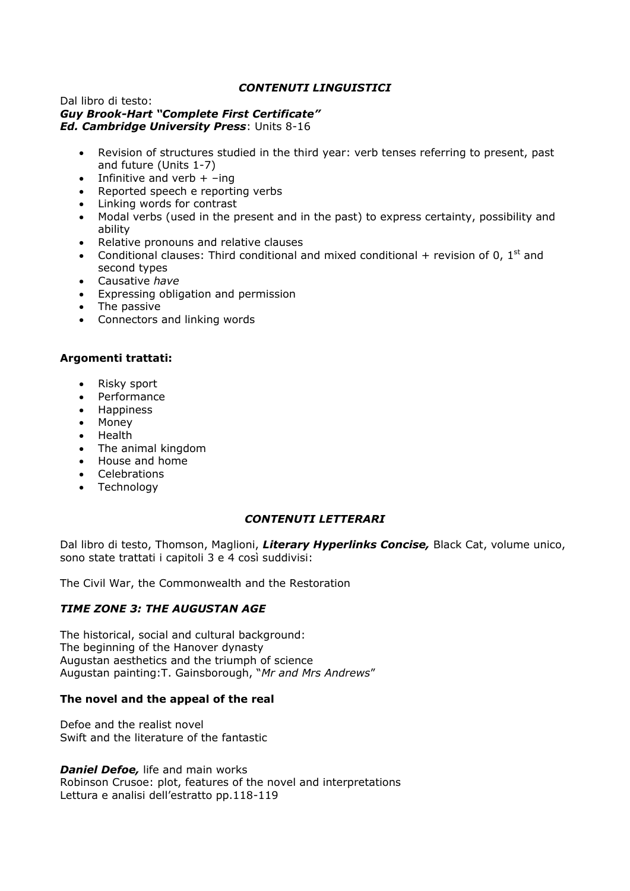# *CONTENUTI LINGUISTICI*

#### Dal libro di testo: *Guy Brook-Hart "Complete First Certificate" Ed. Cambridge University Press*: Units 8-16

- Revision of structures studied in the third year: verb tenses referring to present, past and future (Units 1-7)
- Infinitive and verb  $+$  –ing
- Reported speech e reporting verbs
- Linking words for contrast
- Modal verbs (used in the present and in the past) to express certainty, possibility and ability
- Relative pronouns and relative clauses
- Conditional clauses: Third conditional and mixed conditional  $+$  revision of 0, 1<sup>st</sup> and second types
- Causative *have*
- Expressing obligation and permission
- The passive
- Connectors and linking words

# **Argomenti trattati:**

- Risky sport
- Performance
- Happiness
- Money
- Health
- The animal kingdom
- House and home
- Celebrations
- Technology

### *CONTENUTI LETTERARI*

Dal libro di testo, Thomson, Maglioni, *Literary Hyperlinks Concise,* Black Cat, volume unico, sono state trattati i capitoli 3 e 4 così suddivisi:

The Civil War, the Commonwealth and the Restoration

# *TIME ZONE 3: THE AUGUSTAN AGE*

The historical, social and cultural background: The beginning of the Hanover dynasty Augustan aesthetics and the triumph of science Augustan painting:T. Gainsborough, "*Mr and Mrs Andrews*"

### **The novel and the appeal of the real**

Defoe and the realist novel Swift and the literature of the fantastic

*Daniel Defoe, life and main works* Robinson Crusoe: plot, features of the novel and interpretations Lettura e analisi dell'estratto pp.118-119